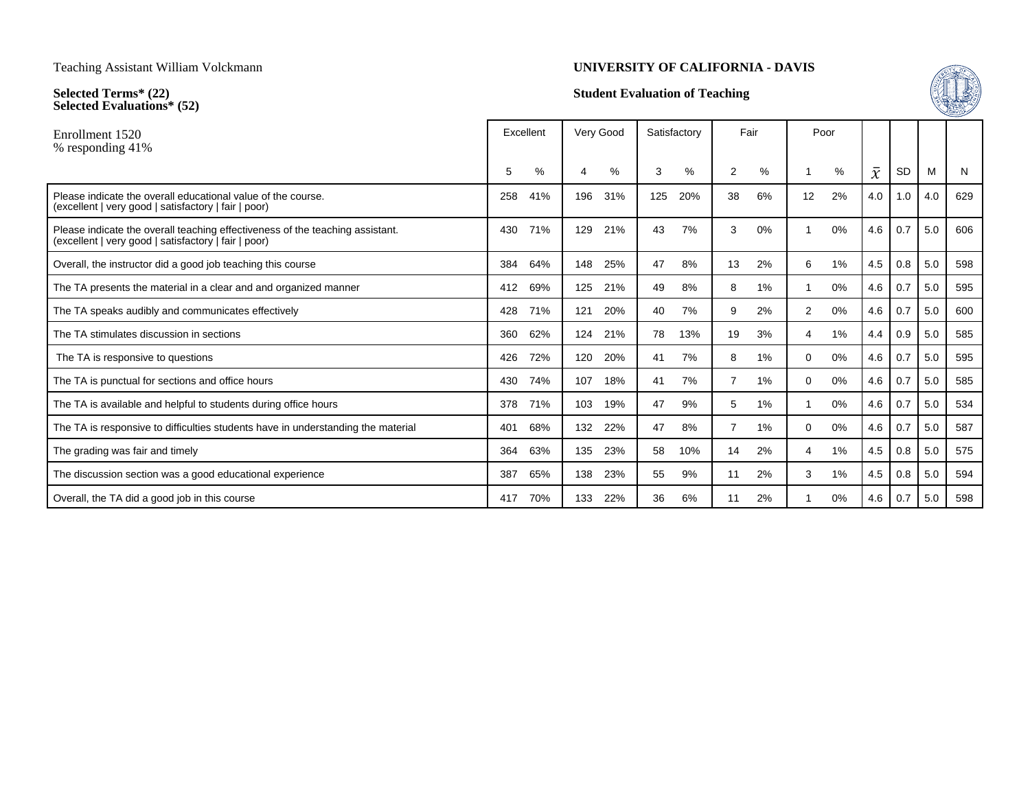**Selected Terms\* (22) Selected Evaluations\* (52)**

### **UNIVERSITY OF CALIFORNIA - DAVIS**

## **Student Evaluation of Teaching**



| Fair<br>Satisfactory<br>Poor                                                   | Very Good | Excellent |     |                                                                                                                                       | Enrollment 1520<br>% responding 41% |
|--------------------------------------------------------------------------------|-----------|-----------|-----|---------------------------------------------------------------------------------------------------------------------------------------|-------------------------------------|
| $\bar{x}$<br><b>SD</b><br>%<br>$\%$<br>%<br>%<br>M<br>3<br>2<br>N              | 4         | %         | 5   |                                                                                                                                       |                                     |
| 31%<br>20%<br>6%<br>12<br>2%<br>4.0<br>1.0<br>629<br>125<br>38<br>4.0          | 196       | 41%       | 258 | Please indicate the overall educational value of the course.<br>(excellent   very good   satisfactory   fair   poor)                  |                                     |
| 0.7<br>606<br>21%<br>7%<br>3<br>0%<br>0%<br>4.6<br>5.0<br>43                   | 129       | 71%       | 430 | Please indicate the overall teaching effectiveness of the teaching assistant.<br>(excellent   very good   satisfactory   fair   poor) |                                     |
| 8%<br>2%<br>1%<br>4.5<br>0.8<br>5.0<br>598<br>25%<br>47<br>13<br>6             | 148       | 64%       | 384 | Overall, the instructor did a good job teaching this course                                                                           |                                     |
| 0.7<br>21%<br>8%<br>1%<br>0%<br>4.6<br>5.0<br>595<br>49<br>8                   | 125       | 69%       | 412 | The TA presents the material in a clear and and organized manner                                                                      |                                     |
| 0.7<br>20%<br>7%<br>2%<br>$\overline{2}$<br>0%<br>4.6<br>5.0<br>600<br>9<br>40 | 121       | 71%       | 428 | The TA speaks audibly and communicates effectively                                                                                    |                                     |
| 13%<br>3%<br>1%<br>0.9<br>585<br>21%<br>78<br>19<br>5.0<br>4.4<br>4            | 124       | 62%       | 360 | The TA stimulates discussion in sections                                                                                              |                                     |
| 0.7<br>595<br>20%<br>7%<br>1%<br>0%<br>4.6<br>5.0<br>41<br>8<br>0              | 120       | 72%       | 426 | The TA is responsive to questions                                                                                                     |                                     |
| 0.7<br>18%<br>7%<br>1%<br>0%<br>4.6<br>5.0<br>585<br>41<br>7<br>$\Omega$       | 107       | 74%       | 430 | The TA is punctual for sections and office hours                                                                                      |                                     |
| 0.7<br>19%<br>9%<br>1%<br>0%<br>4.6<br>5.0<br>534<br>47<br>5                   | 103       | 71%       | 378 | The TA is available and helpful to students during office hours                                                                       |                                     |
| 0%<br>0.7<br>587<br>22%<br>8%<br>7<br>1%<br>4.6<br>5.0<br>47<br>$\Omega$       | 132       | 68%       | 401 | The TA is responsive to difficulties students have in understanding the material                                                      |                                     |
| 10%<br>1%<br>4.5<br>0.8<br>5.0<br>575<br>23%<br>58<br>14<br>2%<br>4            | 135       | 63%       | 364 | The grading was fair and timely                                                                                                       |                                     |
| 23%<br>2%<br>1%<br>4.5<br>0.8<br>5.0<br>594<br>55<br>9%<br>11<br>3             | 138       | 65%       | 387 | The discussion section was a good educational experience                                                                              |                                     |
| 2%<br>0%<br>22%<br>36<br>6%<br>4.6<br>0.7<br>5.0<br>598<br>11                  | 133       | 70%       | 417 | Overall, the TA did a good job in this course                                                                                         |                                     |
|                                                                                |           |           |     |                                                                                                                                       |                                     |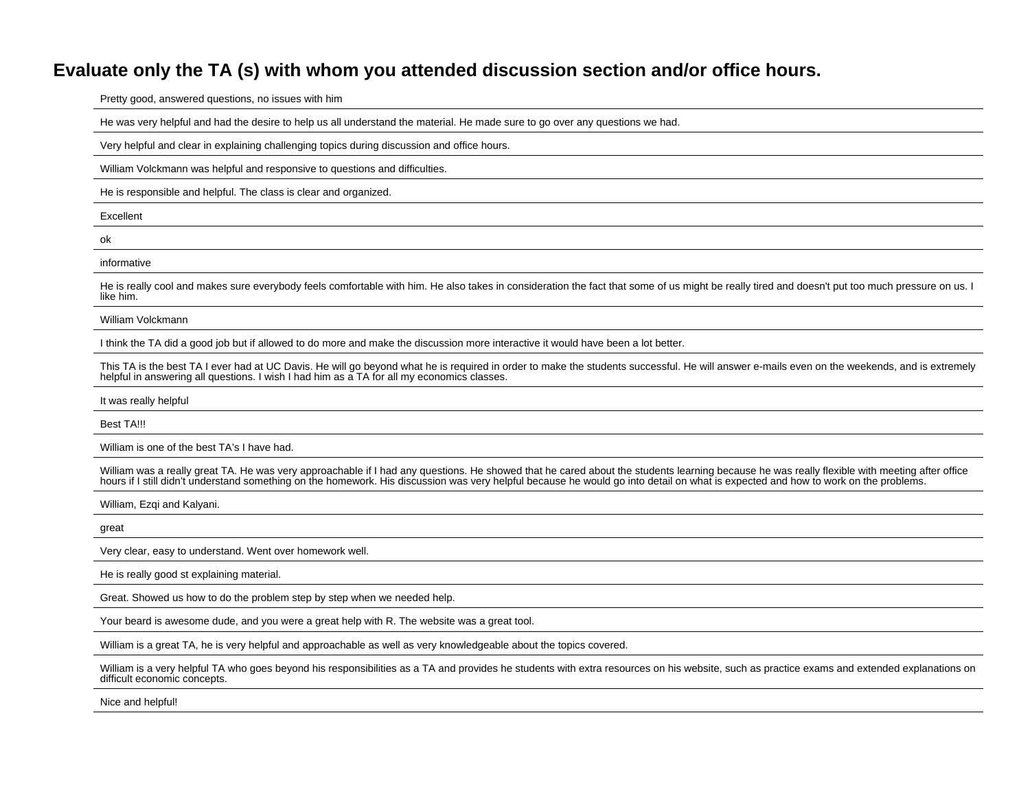# **Evaluate only the TA (s) with whom you attended discussion section and/or office hours.**

Pretty good, answered questions, no issues with him

He was very helpful and had the desire to help us all understand the material. He made sure to go over any questions we had.

Very helpful and clear in explaining challenging topics during discussion and office hours.

William Volckmann was helpful and responsive to questions and difficulties.

He is responsible and helpful. The class is clear and organized.

Excellent

ok

informative

He is really cool and makes sure everybody feels comfortable with him. He also takes in consideration the fact that some of us might be really tired and doesn't put too much pressure on us. I like him.

William Volckmann

I think the TA did a good job but if allowed to do more and make the discussion more interactive it would have been a lot better.

This TA is the best TA I ever had at UC Davis. He will go beyond what he is required in order to make the students successful. He will answer e-mails even on the weekends, and is extremely helpful in answering all questions. I wish I had him as a TA for all my economics classes.

It was really helpful

Best TA!!!

William is one of the best TA's I have had.

William was a really great TA. He was very approachable if I had any questions. He showed that he cared about the students learning because he was really flexible with meeting after office hours if I still didn't understand something on the homework. His discussion was very helpful because he would go into detail on what is expected and how to work on the problems.

William, Ezqi and Kalyani.

great

Very clear, easy to understand. Went over homework well.

He is really good st explaining material.

Great. Showed us how to do the problem step by step when we needed help.

Your beard is awesome dude, and you were a great help with R. The website was a great tool.

William is a great TA, he is very helpful and approachable as well as very knowledgeable about the topics covered.

William is a very helpful TA who goes beyond his responsibilities as a TA and provides he students with extra resources on his website, such as practice exams and extended explanations on difficult economic concepts.

Nice and helpful!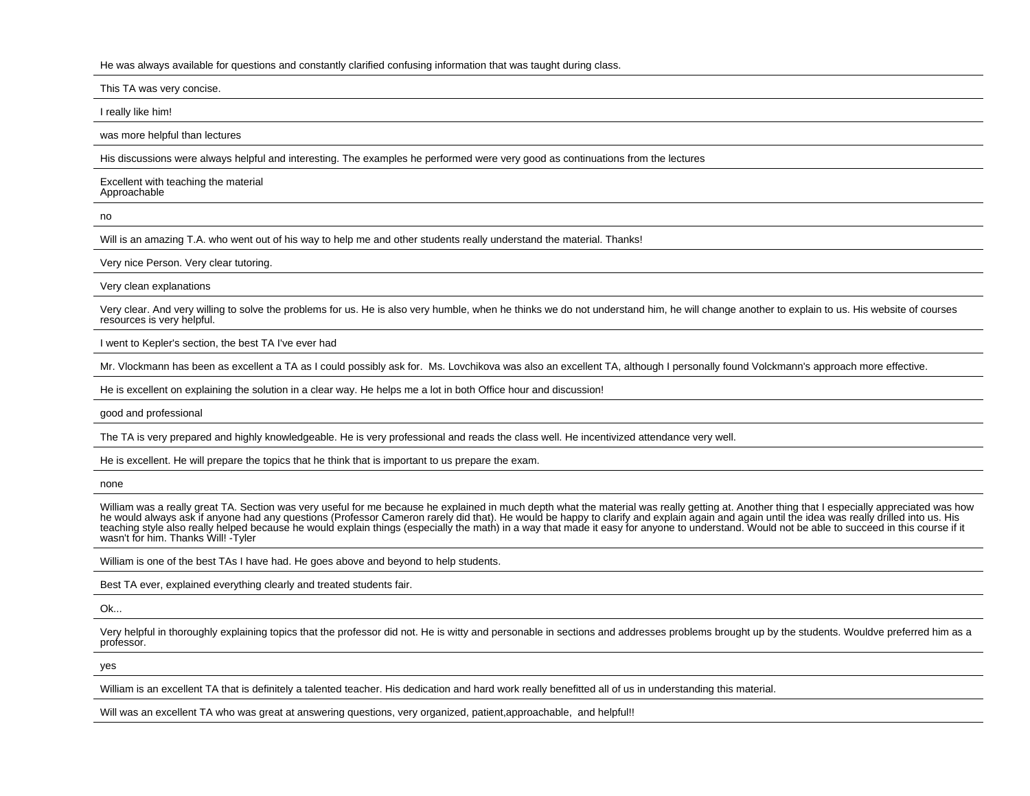#### He was always available for questions and constantly clarified confusing information that was taught during class.

This TA was very concise.

I really like him!

was more helpful than lectures

His discussions were always helpful and interesting. The examples he performed were very good as continuations from the lectures

Excellent with teaching the materialApproachable

no

Will is an amazing T.A. who went out of his way to help me and other students really understand the material. Thanks!

Very nice Person. Very clear tutoring.

Very clean explanations

Very clear. And very willing to solve the problems for us. He is also very humble, when he thinks we do not understand him, he will change another to explain to us. His website of coursesresources is very helpful.

I went to Kepler's section, the best TA I've ever had

Mr. Vlockmann has been as excellent a TA as I could possibly ask for. Ms. Lovchikova was also an excellent TA, although I personally found Volckmann's approach more effective.

He is excellent on explaining the solution in a clear way. He helps me a lot in both Office hour and discussion!

good and professional

The TA is very prepared and highly knowledgeable. He is very professional and reads the class well. He incentivized attendance very well.

He is excellent. He will prepare the topics that he think that is important to us prepare the exam.

none

William was a really great TA. Section was very useful for me because he explained in much depth what the material was really getting at. Another thing that I especially appreciated was how he would always ask if anyone had any questions (Professor Cameron rarely did that). He would be happy to clarify and explain again and again until the idea was really drilled into us. His teaching style also really helped because he would explain things (especially the math) in a way that made it easy for anyone to understand. Would not be able to succeed in this course if itwasn't for him. Thanks Will! -Tyler

William is one of the best TAs I have had. He goes above and beyond to help students.

Best TA ever, explained everything clearly and treated students fair.

Ok...

Very helpful in thoroughly explaining topics that the professor did not. He is witty and personable in sections and addresses problems brought up by the students. Wouldve preferred him as a professor.

yes

William is an excellent TA that is definitely a talented teacher. His dedication and hard work really benefitted all of us in understanding this material.

Will was an excellent TA who was great at answering questions, very organized, patient,approachable, and helpful!!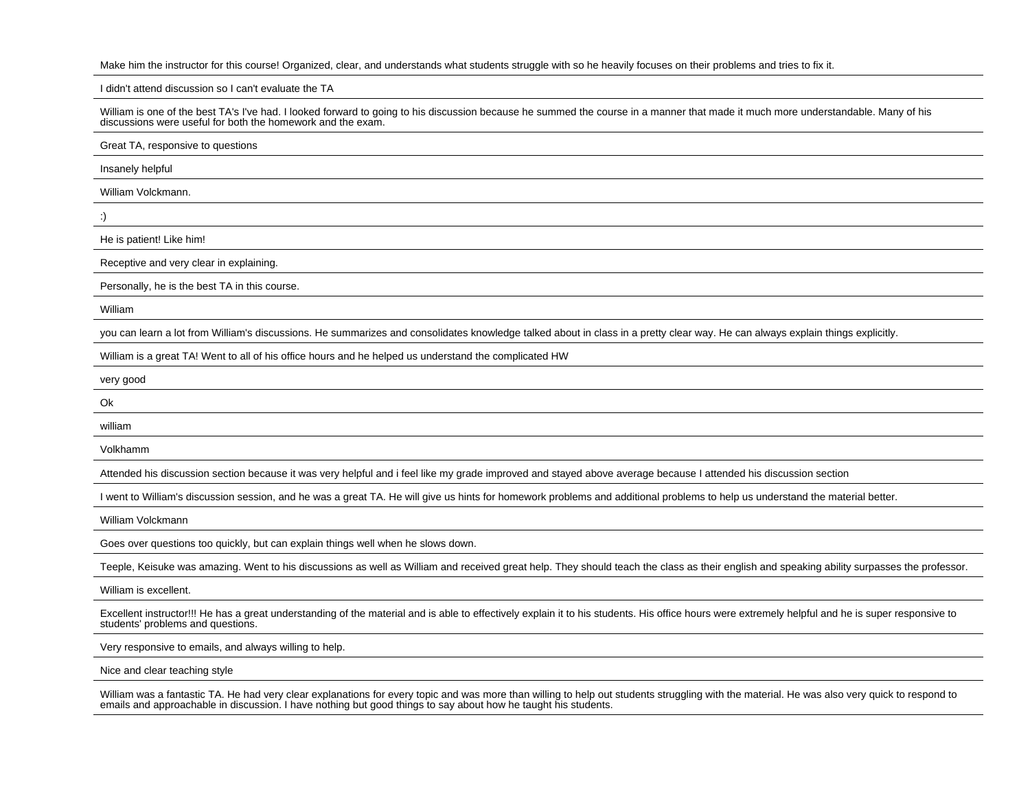Make him the instructor for this course! Organized, clear, and understands what students struggle with so he heavily focuses on their problems and tries to fix it.

I didn't attend discussion so I can't evaluate the TA

William is one of the best TA's I've had. I looked forward to going to his discussion because he summed the course in a manner that made it much more understandable. Many of his discussions were useful for both the homework and the exam.

Great TA, responsive to questions

Insanely helpful

William Volckmann.

:)

He is patient! Like him!

Receptive and very clear in explaining.

Personally, he is the best TA in this course.

William

you can learn a lot from William's discussions. He summarizes and consolidates knowledge talked about in class in a pretty clear way. He can always explain things explicitly.

William is a great TA! Went to all of his office hours and he helped us understand the complicated HW

very good

Ok

william

Volkhamm

Attended his discussion section because it was very helpful and i feel like my grade improved and stayed above average because I attended his discussion section

I went to William's discussion session, and he was a great TA. He will give us hints for homework problems and additional problems to help us understand the material better.

William Volckmann

Goes over questions too quickly, but can explain things well when he slows down.

Teeple, Keisuke was amazing. Went to his discussions as well as William and received great help. They should teach the class as their english and speaking ability surpasses the professor.

William is excellent.

Excellent instructor!!! He has a great understanding of the material and is able to effectively explain it to his students. His office hours were extremely helpful and he is super responsive to students' problems and questions.

Very responsive to emails, and always willing to help.

Nice and clear teaching style

William was a fantastic TA. He had very clear explanations for every topic and was more than willing to help out students struggling with the material. He was also very quick to respond to emails and approachable in discussion. I have nothing but good things to say about how he taught his students.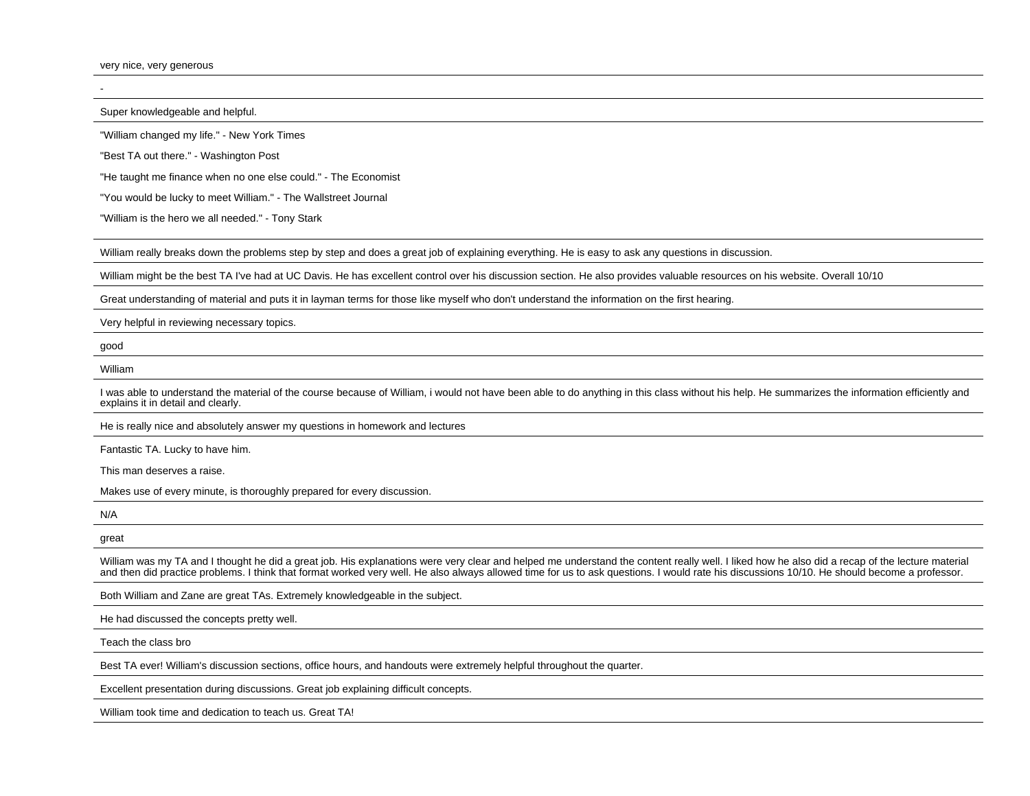very nice, very generous

Super knowledgeable and helpful.

"William changed my life." - New York Times

"Best TA out there." - Washington Post

"He taught me finance when no one else could." - The Economist

"You would be lucky to meet William." - The Wallstreet Journal

"William is the hero we all needed." - Tony Stark

William really breaks down the problems step by step and does a great job of explaining everything. He is easy to ask any questions in discussion.

William might be the best TA I've had at UC Davis. He has excellent control over his discussion section. He also provides valuable resources on his website. Overall 10/10

Great understanding of material and puts it in layman terms for those like myself who don't understand the information on the first hearing.

Very helpful in reviewing necessary topics.

good

### William

I was able to understand the material of the course because of William, i would not have been able to do anything in this class without his help. He summarizes the information efficiently and explains it in detail and clearly.

He is really nice and absolutely answer my questions in homework and lectures

Fantastic TA. Lucky to have him.

This man deserves a raise.

Makes use of every minute, is thoroughly prepared for every discussion.

N/A

great

William was my TA and I thought he did a great job. His explanations were very clear and helped me understand the content really well. I liked how he also did a recap of the lecture material and then did practice problems. I think that format worked very well. He also always allowed time for us to ask questions. I would rate his discussions 10/10. He should become a professor.

Both William and Zane are great TAs. Extremely knowledgeable in the subject.

He had discussed the concepts pretty well.

Teach the class bro

Best TA ever! William's discussion sections, office hours, and handouts were extremely helpful throughout the quarter.

Excellent presentation during discussions. Great job explaining difficult concepts.

William took time and dedication to teach us. Great TA!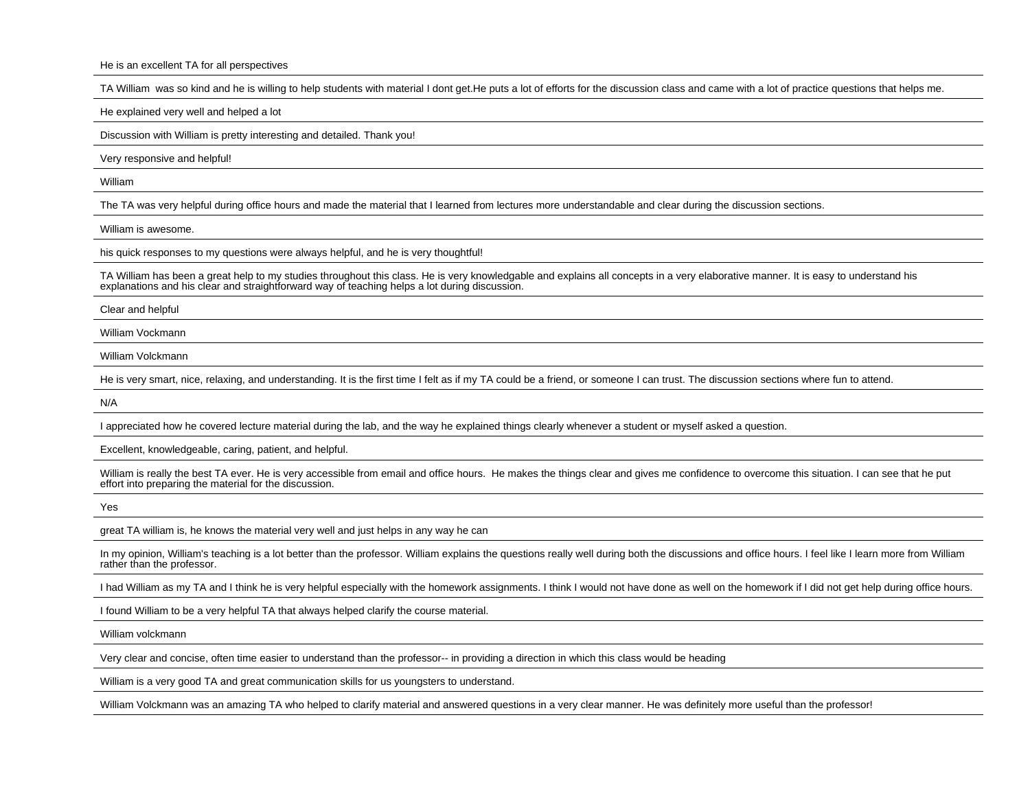He is an excellent TA for all perspectives

TA William was so kind and he is willing to help students with material I dont get.He puts a lot of efforts for the discussion class and came with a lot of practice questions that helps me.

He explained very well and helped a lot

Discussion with William is pretty interesting and detailed. Thank you!

Very responsive and helpful!

William

The TA was very helpful during office hours and made the material that I learned from lectures more understandable and clear during the discussion sections.

William is awesome.

his quick responses to my questions were always helpful, and he is very thoughtful!

TA William has been a great help to my studies throughout this class. He is very knowledgable and explains all concepts in a very elaborative manner. It is easy to understand hisexplanations and his clear and straightforward way of teaching helps a lot during discussion.

Clear and helpful

William Vockmann

William Volckmann

He is very smart, nice, relaxing, and understanding. It is the first time I felt as if my TA could be a friend, or someone I can trust. The discussion sections where fun to attend.

N/A

I appreciated how he covered lecture material during the lab, and the way he explained things clearly whenever a student or myself asked a question.

Excellent, knowledgeable, caring, patient, and helpful.

William is really the best TA ever. He is very accessible from email and office hours. He makes the things clear and gives me confidence to overcome this situation. I can see that he put effort into preparing the material for the discussion.

Yes

great TA william is, he knows the material very well and just helps in any way he can

In my opinion, William's teaching is a lot better than the professor. William explains the questions really well during both the discussions and office hours. I feel like I learn more from William rather than the professor.

I had William as my TA and I think he is very helpful especially with the homework assignments. I think I would not have done as well on the homework if I did not get help during office hours.

I found William to be a very helpful TA that always helped clarify the course material.

William volckmann

Very clear and concise, often time easier to understand than the professor-- in providing a direction in which this class would be heading

William is a very good TA and great communication skills for us youngsters to understand.

William Volckmann was an amazing TA who helped to clarify material and answered questions in a very clear manner. He was definitely more useful than the professor!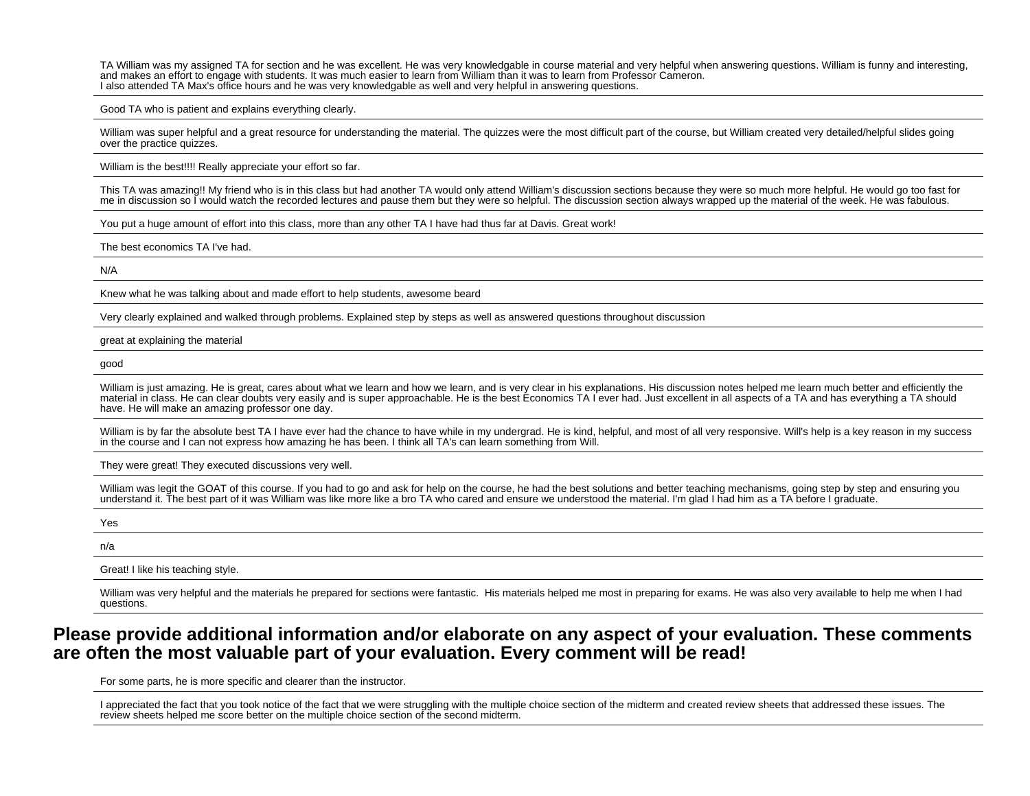TA William was my assigned TA for section and he was excellent. He was very knowledgable in course material and very helpful when answering questions. William is funny and interesting,and makes an effort to engage with students. It was much easier to learn from William than it was to learn from Professor Cameron.I also attended TA Max's office hours and he was very knowledgable as well and very helpful in answering questions.

Good TA who is patient and explains everything clearly.

William was super helpful and a great resource for understanding the material. The quizzes were the most difficult part of the course, but William created very detailed/helpful slides going over the practice quizzes.

William is the best!!!! Really appreciate your effort so far.

This TA was amazing!! My friend who is in this class but had another TA would only attend William's discussion sections because they were so much more helpful. He would go too fast forme in discussion so I would watch the recorded lectures and pause them but they were so helpful. The discussion section always wrapped up the material of the week. He was fabulous.

You put a huge amount of effort into this class, more than any other TA I have had thus far at Davis. Great work!

The best economics TA I've had.

N/A

Knew what he was talking about and made effort to help students, awesome beard

Very clearly explained and walked through problems. Explained step by steps as well as answered questions throughout discussion

great at explaining the material

good

William is just amazing. He is great, cares about what we learn and how we learn, and is very clear in his explanations. His discussion notes helped me learn much better and efficiently the material in class. He can clear doubts very easily and is super approachable. He is the best Economics TA I ever had. Just excellent in all aspects of a TA and has everything a TA shouldhave. He will make an amazing professor one day.

William is by far the absolute best TA I have ever had the chance to have while in my undergrad. He is kind, helpful, and most of all very responsive. Will's help is a key reason in my success in the course and I can not express how amazing he has been. I think all TA's can learn something from Will.

They were great! They executed discussions very well.

William was legit the GOAT of this course. If you had to go and ask for help on the course, he had the best solutions and better teaching mechanisms, going step by step and ensuring you understand it. The best part of it was William was like more like a bro TA who cared and ensure we understood the material. I'm glad I had him as a TA before I graduate.

Yes

n/a

Great! I like his teaching style.

William was very helpful and the materials he prepared for sections were fantastic. His materials helped me most in preparing for exams. He was also very available to help me when I had questions.

# **Please provide additional information and/or elaborate on any aspect of your evaluation. These commentsare often the most valuable part of your evaluation. Every comment will be read!**

For some parts, he is more specific and clearer than the instructor.

I appreciated the fact that you took notice of the fact that we were struggling with the multiple choice section of the midterm and created review sheets that addressed these issues. The review sheets helped me score better on the multiple choice section of the second midterm.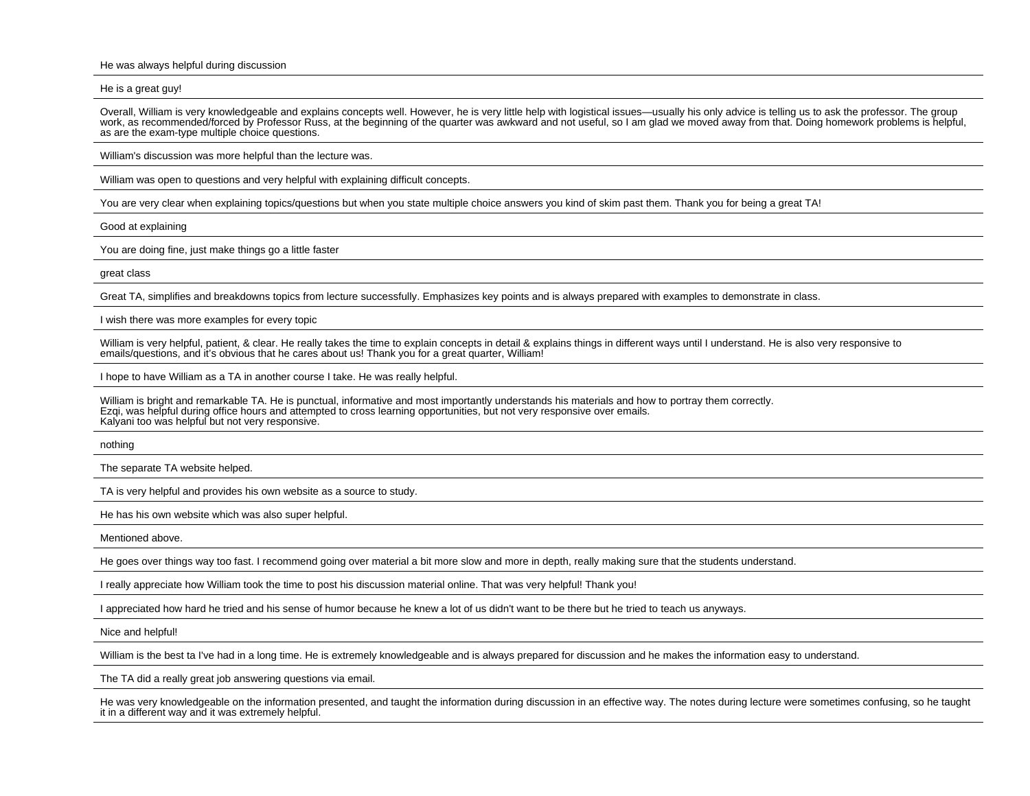He was always helpful during discussion

He is a great guy!

Overall, William is very knowledgeable and explains concepts well. However, he is very little help with logistical issues—usually his only advice is telling us to ask the professor. The groupwork, as recommended/forced by Professor Russ, at the beginning of the quarter was awkward and not useful, so I am glad we moved away from that. Doing homework problems is helpful, as are the exam-type multiple choice questions.

William's discussion was more helpful than the lecture was.

William was open to questions and very helpful with explaining difficult concepts.

You are very clear when explaining topics/questions but when you state multiple choice answers you kind of skim past them. Thank you for being a great TA!

Good at explaining

You are doing fine, just make things go a little faster

great class

Great TA, simplifies and breakdowns topics from lecture successfully. Emphasizes key points and is always prepared with examples to demonstrate in class.

I wish there was more examples for every topic

William is very helpful, patient, & clear. He really takes the time to explain concepts in detail & explains things in different ways until I understand. He is also very responsive to emails/questions, and it's obvious that he cares about us! Thank you for a great quarter, William!

I hope to have William as a TA in another course I take. He was really helpful.

William is bright and remarkable TA. He is punctual, informative and most importantly understands his materials and how to portray them correctly. Ezqi, was helpful during office hours and attempted to cross learning opportunities, but not very responsive over emails.Kalyani too was helpful but not very responsive.

nothing

The separate TA website helped.

TA is very helpful and provides his own website as a source to study.

He has his own website which was also super helpful.

Mentioned above.

He goes over things way too fast. I recommend going over material a bit more slow and more in depth, really making sure that the students understand.

I really appreciate how William took the time to post his discussion material online. That was very helpful! Thank you!

I appreciated how hard he tried and his sense of humor because he knew a lot of us didn't want to be there but he tried to teach us anyways.

Nice and helpful!

William is the best ta I've had in a long time. He is extremely knowledgeable and is always prepared for discussion and he makes the information easy to understand.

The TA did a really great job answering questions via email.

He was very knowledgeable on the information presented, and taught the information during discussion in an effective way. The notes during lecture were sometimes confusing, so he taughtit in a different way and it was extremely helpful.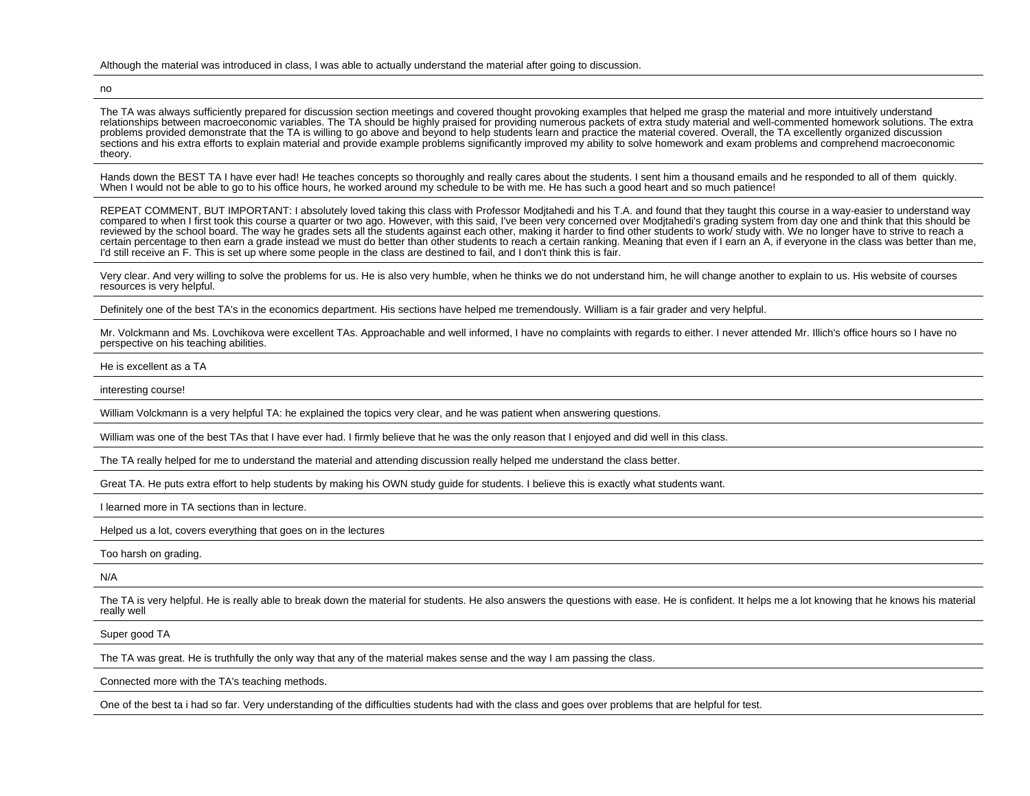#### Although the material was introduced in class, I was able to actually understand the material after going to discussion.

no

The TA was always sufficiently prepared for discussion section meetings and covered thought provoking examples that helped me grasp the material and more intuitively understand relationships between macroeconomic variables. The TA should be highly praised for providing numerous packets of extra study material and well-commented homework solutions. The extraproblems provided demonstrate that the TA is willing to go above and beyond to help students learn and practice the material covered. Overall, the TA excellently organized discussion sections and his extra efforts to explain material and provide example problems significantly improved my ability to solve homework and exam problems and comprehend macroeconomictheory.

Hands down the BEST TA I have ever had! He teaches concepts so thoroughly and really cares about the students. I sent him a thousand emails and he responded to all of them quickly. When I would not be able to go to his office hours, he worked around my schedule to be with me. He has such a good heart and so much patience!

REPEAT COMMENT, BUT IMPORTANT: I absolutely loved taking this class with Professor Moditahedi and his T.A. and found that they taught this course in a way-easier to understand way compared to when I first took this course a quarter or two ago. However, with this said, I've been very concerned over Modjtahedi's grading system from day one and think that this should bereviewed by the school board. The way he grades sets all the students against each other, making it harder to find other students to work/ study with. We no longer have to strive to reach a certain percentage to then earn a grade instead we must do better than other students to reach a certain ranking. Meaning that even if I earn an A, if everyone in the class was better than me, I'd still receive an F. This is set up where some people in the class are destined to fail, and I don't think this is fair.

Very clear. And very willing to solve the problems for us. He is also very humble, when he thinks we do not understand him, he will change another to explain to us. His website of courses resources is very helpful.

Definitely one of the best TA's in the economics department. His sections have helped me tremendously. William is a fair grader and very helpful.

Mr. Volckmann and Ms. Lovchikova were excellent TAs. Approachable and well informed, I have no complaints with regards to either. I never attended Mr. Illich's office hours so I have noperspective on his teaching abilities.

He is excellent as a TA

interesting course!

William Volckmann is a very helpful TA: he explained the topics very clear, and he was patient when answering questions.

William was one of the best TAs that I have ever had. I firmly believe that he was the only reason that I enjoyed and did well in this class.

The TA really helped for me to understand the material and attending discussion really helped me understand the class better.

Great TA. He puts extra effort to help students by making his OWN study guide for students. I believe this is exactly what students want.

I learned more in TA sections than in lecture.

Helped us a lot, covers everything that goes on in the lectures

Too harsh on grading.

N/A

The TA is very helpful. He is really able to break down the material for students. He also answers the questions with ease. He is confident. It helps me a lot knowing that he knows his material really well

#### Super good TA

The TA was great. He is truthfully the only way that any of the material makes sense and the way I am passing the class.

Connected more with the TA's teaching methods.

One of the best ta i had so far. Very understanding of the difficulties students had with the class and goes over problems that are helpful for test.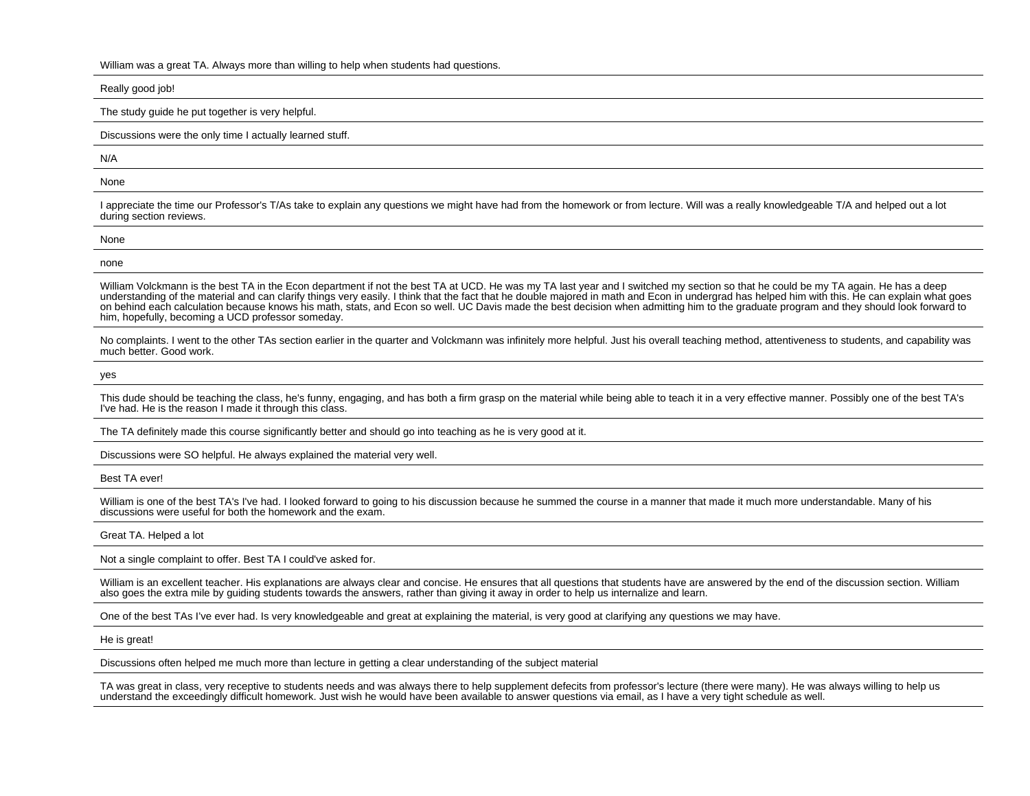William was a great TA. Always more than willing to help when students had questions.

Really good job!

The study guide he put together is very helpful.

Discussions were the only time I actually learned stuff.

N/A

None

I appreciate the time our Professor's T/As take to explain any questions we might have had from the homework or from lecture. Will was a really knowledgeable T/A and helped out a lot during section reviews.

| None |  |  |
|------|--|--|
| none |  |  |

William Volckmann is the best TA in the Econ department if not the best TA at UCD. He was my TA last year and I switched my section so that he could be my TA again. He has a deep understanding of the material and can clarify things very easily. I think that the fact that he double majored in math and Econ in undergrad has helped him with this. He can explain what goes on behind each calculation because knows his math, stats, and Econ so well. UC Davis made the best decision when admitting him to the graduate program and they should look forward tohim, hopefully, becoming a UCD professor someday.

No complaints. I went to the other TAs section earlier in the quarter and Volckmann was infinitely more helpful. Just his overall teaching method, attentiveness to students, and capability was much better. Good work.

yes

This dude should be teaching the class, he's funny, engaging, and has both a firm grasp on the material while being able to teach it in a very effective manner. Possibly one of the best TA's I've had. He is the reason I made it through this class.

The TA definitely made this course significantly better and should go into teaching as he is very good at it.

Discussions were SO helpful. He always explained the material very well.

Best TA ever!

William is one of the best TA's I've had. I looked forward to going to his discussion because he summed the course in a manner that made it much more understandable. Many of his discussions were useful for both the homework and the exam.

Great TA. Helped a lot

Not a single complaint to offer. Best TA I could've asked for.

William is an excellent teacher. His explanations are always clear and concise. He ensures that all questions that students have are answered by the end of the discussion section. William also goes the extra mile by guiding students towards the answers, rather than giving it away in order to help us internalize and learn.

One of the best TAs I've ever had. Is very knowledgeable and great at explaining the material, is very good at clarifying any questions we may have.

He is great!

Discussions often helped me much more than lecture in getting a clear understanding of the subject material

TA was great in class, very receptive to students needs and was always there to help supplement defecits from professor's lecture (there were many). He was always willing to help usunderstand the exceedingly difficult homework. Just wish he would have been available to answer questions via email, as I have a very tight schedule as well.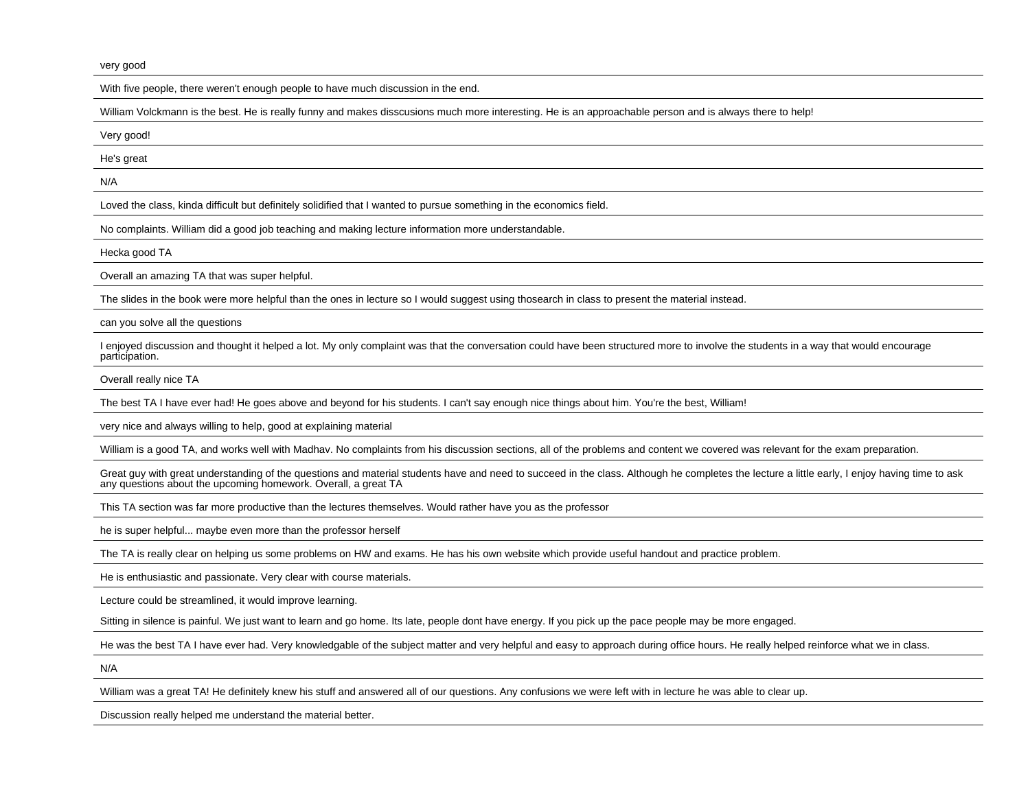very good

With five people, there weren't enough people to have much discussion in the end.

William Volckmann is the best. He is really funny and makes disscusions much more interesting. He is an approachable person and is always there to help!

Very good!

He's great

N/A

Loved the class, kinda difficult but definitely solidified that I wanted to pursue something in the economics field.

No complaints. William did a good job teaching and making lecture information more understandable.

Hecka good TA

Overall an amazing TA that was super helpful.

The slides in the book were more helpful than the ones in lecture so I would suggest using thosearch in class to present the material instead.

can you solve all the questions

I enjoyed discussion and thought it helped a lot. My only complaint was that the conversation could have been structured more to involve the students in a way that would encourageparticipation.

Overall really nice TA

The best TA I have ever had! He goes above and beyond for his students. I can't say enough nice things about him. You're the best, William!

very nice and always willing to help, good at explaining material

William is a good TA, and works well with Madhav. No complaints from his discussion sections, all of the problems and content we covered was relevant for the exam preparation.

Great guy with great understanding of the questions and material students have and need to succeed in the class. Although he completes the lecture a little early, I enjoy having time to ask any questions about the upcoming homework. Overall, a great TA

This TA section was far more productive than the lectures themselves. Would rather have you as the professor

he is super helpful... maybe even more than the professor herself

The TA is really clear on helping us some problems on HW and exams. He has his own website which provide useful handout and practice problem.

He is enthusiastic and passionate. Very clear with course materials.

Lecture could be streamlined, it would improve learning.

Sitting in silence is painful. We just want to learn and go home. Its late, people dont have energy. If you pick up the pace people may be more engaged.

He was the best TA I have ever had. Very knowledgable of the subject matter and very helpful and easy to approach during office hours. He really helped reinforce what we in class.

N/A

William was a great TA! He definitely knew his stuff and answered all of our questions. Any confusions we were left with in lecture he was able to clear up.

Discussion really helped me understand the material better.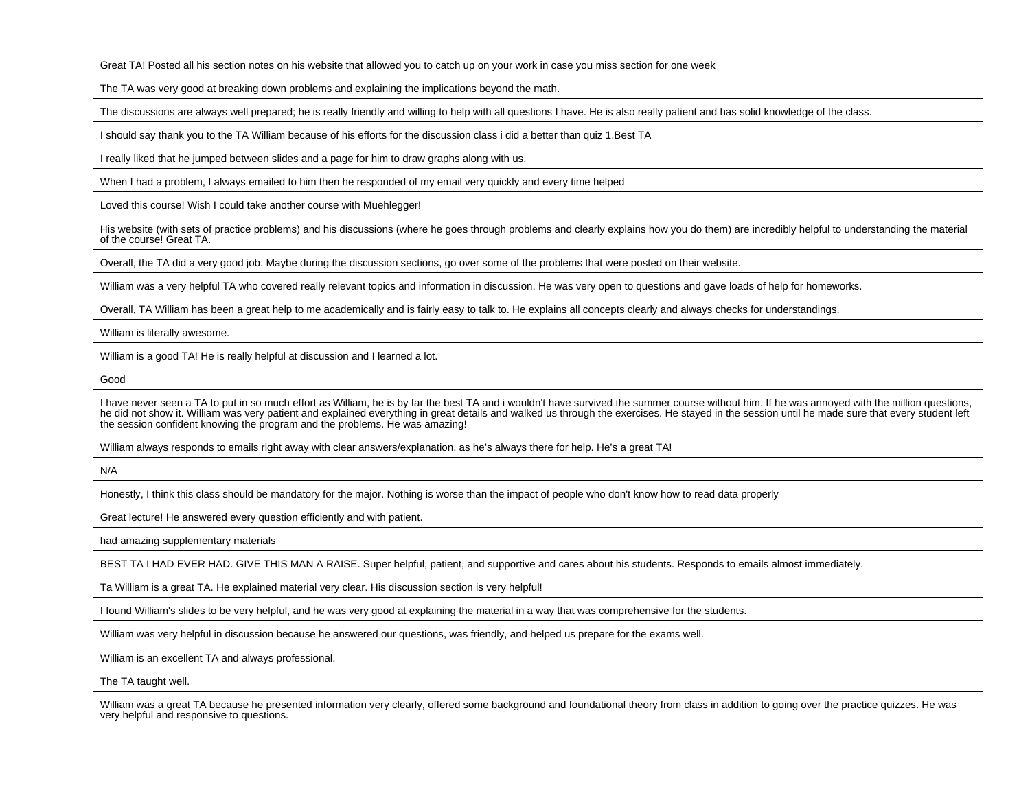Great TA! Posted all his section notes on his website that allowed you to catch up on your work in case you miss section for one week

The TA was very good at breaking down problems and explaining the implications beyond the math.

The discussions are always well prepared; he is really friendly and willing to help with all questions I have. He is also really patient and has solid knowledge of the class.

I should say thank you to the TA William because of his efforts for the discussion class i did a better than quiz 1.Best TA

I really liked that he jumped between slides and a page for him to draw graphs along with us.

When I had a problem, I always emailed to him then he responded of my email very quickly and every time helped

Loved this course! Wish I could take another course with Muehlegger!

His website (with sets of practice problems) and his discussions (where he goes through problems and clearly explains how you do them) are incredibly helpful to understanding the materialof the course! Great TA.

Overall, the TA did a very good job. Maybe during the discussion sections, go over some of the problems that were posted on their website.

William was a very helpful TA who covered really relevant topics and information in discussion. He was very open to questions and gave loads of help for homeworks.

Overall, TA William has been a great help to me academically and is fairly easy to talk to. He explains all concepts clearly and always checks for understandings.

William is literally awesome.

William is a good TA! He is really helpful at discussion and I learned a lot.

Good

I have never seen a TA to put in so much effort as William, he is by far the best TA and i wouldn't have survived the summer course without him. If he was annoved with the million questions, he did not show it. William was very patient and explained everything in great details and walked us through the exercises. He stayed in the session until he made sure that every student leftthe session confident knowing the program and the problems. He was amazing!

William always responds to emails right away with clear answers/explanation, as he's always there for help. He's a great TA!

N/A

Honestly, I think this class should be mandatory for the major. Nothing is worse than the impact of people who don't know how to read data properly

Great lecture! He answered every question efficiently and with patient.

had amazing supplementary materials

BEST TA I HAD EVER HAD. GIVE THIS MAN A RAISE. Super helpful, patient, and supportive and cares about his students. Responds to emails almost immediately.

Ta William is a great TA. He explained material very clear. His discussion section is very helpful!

I found William's slides to be very helpful, and he was very good at explaining the material in a way that was comprehensive for the students.

William was very helpful in discussion because he answered our questions, was friendly, and helped us prepare for the exams well.

William is an excellent TA and always professional.

The TA taught well.

William was a great TA because he presented information very clearly, offered some background and foundational theory from class in addition to going over the practice quizzes. He wasvery helpful and responsive to questions.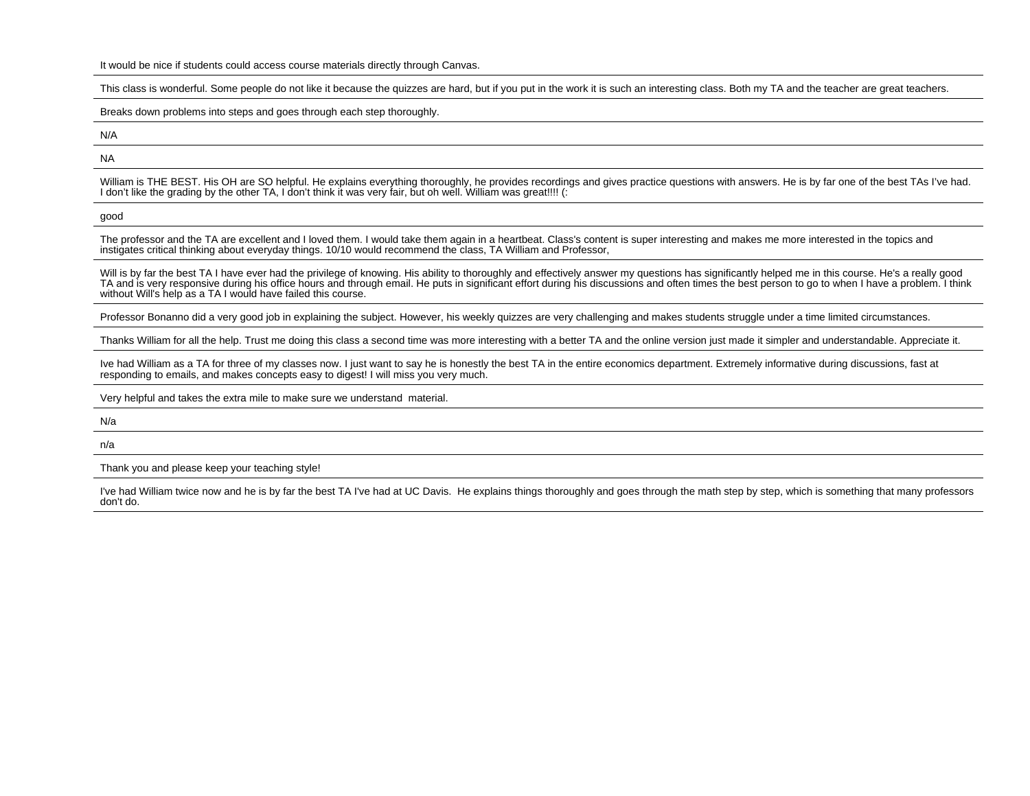This class is wonderful. Some people do not like it because the quizzes are hard, but if you put in the work it is such an interesting class. Both my TA and the teacher are great teachers.

Breaks down problems into steps and goes through each step thoroughly.

N/A

NA

William is THE BEST. His OH are SO helpful. He explains everything thoroughly, he provides recordings and gives practice questions with answers. He is by far one of the best TAs I've had.<br>I don't like the grading by the ot

good

The professor and the TA are excellent and I loved them. I would take them again in a heartbeat. Class's content is super interesting and makes me more interested in the topics andinstigates critical thinking about everyday things. 10/10 would recommend the class, TA William and Professor,

Will is by far the best TA I have ever had the privilege of knowing. His ability to thoroughly and effectively answer my questions has significantly helped me in this course. He's a really good TA and is very responsive during his office hours and through email. He puts in significant effort during his discussions and often times the best person to go to when I have a problem. I thinkwithout Will's help as a TA I would have failed this course.

Professor Bonanno did a very good job in explaining the subject. However, his weekly quizzes are very challenging and makes students struggle under a time limited circumstances.

Thanks William for all the help. Trust me doing this class a second time was more interesting with a better TA and the online version just made it simpler and understandable. Appreciate it.

Ive had William as a TA for three of my classes now. I just want to say he is honestly the best TA in the entire economics department. Extremely informative during discussions, fast atresponding to emails, and makes concepts easy to digest! I will miss you very much.

Very helpful and takes the extra mile to make sure we understand material.

N/a

n/a

Thank you and please keep your teaching style!

I've had William twice now and he is by far the best TA I've had at UC Davis. He explains things thoroughly and goes through the math step by step, which is something that many professors don't do.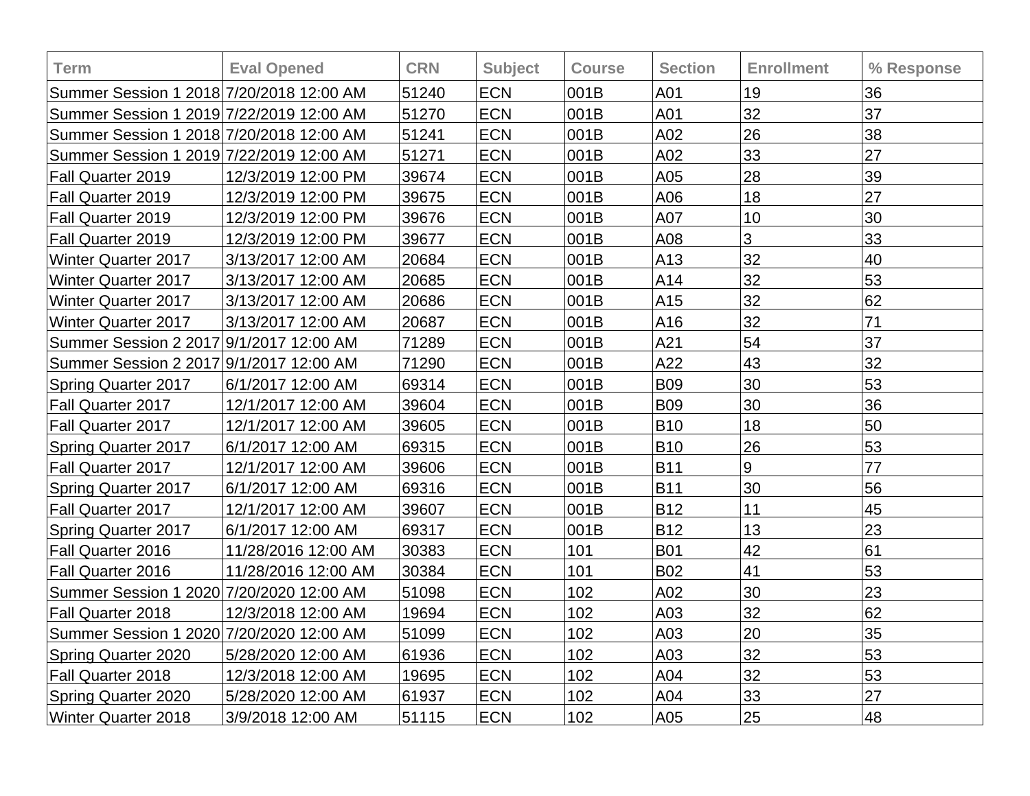| <b>Term</b>                              | <b>Eval Opened</b>  | <b>CRN</b> | <b>Subject</b> | <b>Course</b> | <b>Section</b> | <b>Enrollment</b> | % Response |
|------------------------------------------|---------------------|------------|----------------|---------------|----------------|-------------------|------------|
| Summer Session 1 2018 7/20/2018 12:00 AM |                     | 51240      | <b>ECN</b>     | 001B          | A01            | 19                | 36         |
| Summer Session 1 2019 7/22/2019 12:00 AM |                     | 51270      | <b>ECN</b>     | 001B          | A01            | 32                | 37         |
| Summer Session 1 2018 7/20/2018 12:00 AM |                     | 51241      | <b>ECN</b>     | 001B          | A02            | 26                | 38         |
| Summer Session 1 2019 7/22/2019 12:00 AM |                     | 51271      | <b>ECN</b>     | 001B          | A02            | 33                | 27         |
| Fall Quarter 2019                        | 12/3/2019 12:00 PM  | 39674      | <b>ECN</b>     | 001B          | A05            | 28                | 39         |
| Fall Quarter 2019                        | 12/3/2019 12:00 PM  | 39675      | <b>ECN</b>     | 001B          | A06            | 18                | 27         |
| Fall Quarter 2019                        | 12/3/2019 12:00 PM  | 39676      | <b>ECN</b>     | 001B          | A07            | 10                | 30         |
| Fall Quarter 2019                        | 12/3/2019 12:00 PM  | 39677      | <b>ECN</b>     | 001B          | A08            | 3                 | 33         |
| <b>Winter Quarter 2017</b>               | 3/13/2017 12:00 AM  | 20684      | <b>ECN</b>     | 001B          | A13            | 32                | 40         |
| <b>Winter Quarter 2017</b>               | 3/13/2017 12:00 AM  | 20685      | <b>ECN</b>     | 001B          | A14            | 32                | 53         |
| <b>Winter Quarter 2017</b>               | 3/13/2017 12:00 AM  | 20686      | <b>ECN</b>     | 001B          | A15            | 32                | 62         |
| <b>Winter Quarter 2017</b>               | 3/13/2017 12:00 AM  | 20687      | <b>ECN</b>     | 001B          | A16            | 32                | 71         |
| Summer Session 2 2017 9/1/2017 12:00 AM  |                     | 71289      | <b>ECN</b>     | 001B          | A21            | 54                | 37         |
| Summer Session 2 2017 9/1/2017 12:00 AM  |                     | 71290      | <b>ECN</b>     | 001B          | A22            | 43                | 32         |
| <b>Spring Quarter 2017</b>               | 6/1/2017 12:00 AM   | 69314      | <b>ECN</b>     | 001B          | <b>B09</b>     | 30                | 53         |
| Fall Quarter 2017                        | 12/1/2017 12:00 AM  | 39604      | <b>ECN</b>     | 001B          | <b>B09</b>     | 30                | 36         |
| Fall Quarter 2017                        | 12/1/2017 12:00 AM  | 39605      | <b>ECN</b>     | 001B          | <b>B10</b>     | 18                | 50         |
| <b>Spring Quarter 2017</b>               | 6/1/2017 12:00 AM   | 69315      | <b>ECN</b>     | 001B          | <b>B10</b>     | 26                | 53         |
| <b>Fall Quarter 2017</b>                 | 12/1/2017 12:00 AM  | 39606      | <b>ECN</b>     | 001B          | <b>B11</b>     | 9                 | 77         |
| <b>Spring Quarter 2017</b>               | 6/1/2017 12:00 AM   | 69316      | <b>ECN</b>     | 001B          | <b>B11</b>     | 30                | 56         |
| Fall Quarter 2017                        | 12/1/2017 12:00 AM  | 39607      | <b>ECN</b>     | 001B          | <b>B12</b>     | 11                | 45         |
| <b>Spring Quarter 2017</b>               | 6/1/2017 12:00 AM   | 69317      | <b>ECN</b>     | 001B          | <b>B12</b>     | 13                | 23         |
| Fall Quarter 2016                        | 11/28/2016 12:00 AM | 30383      | <b>ECN</b>     | 101           | <b>B01</b>     | 42                | 61         |
| Fall Quarter 2016                        | 11/28/2016 12:00 AM | 30384      | <b>ECN</b>     | 101           | <b>B02</b>     | 41                | 53         |
| Summer Session 1 2020 7/20/2020 12:00 AM |                     | 51098      | <b>ECN</b>     | 102           | A02            | 30                | 23         |
| Fall Quarter 2018                        | 12/3/2018 12:00 AM  | 19694      | <b>ECN</b>     | 102           | A03            | 32                | 62         |
| Summer Session 1 2020 7/20/2020 12:00 AM |                     | 51099      | <b>ECN</b>     | $102$         | A03            | 20                | 35         |
| <b>Spring Quarter 2020</b>               | 5/28/2020 12:00 AM  | 61936      | <b>ECN</b>     | 102           | A03            | 32                | 53         |
| Fall Quarter 2018                        | 12/3/2018 12:00 AM  | 19695      | <b>ECN</b>     | 102           | A04            | 32                | 53         |
| <b>Spring Quarter 2020</b>               | 5/28/2020 12:00 AM  | 61937      | <b>ECN</b>     | 102           | A04            | 33                | 27         |
| Winter Quarter 2018                      | 3/9/2018 12:00 AM   | 51115      | <b>ECN</b>     | 102           | A05            | 25                | 48         |